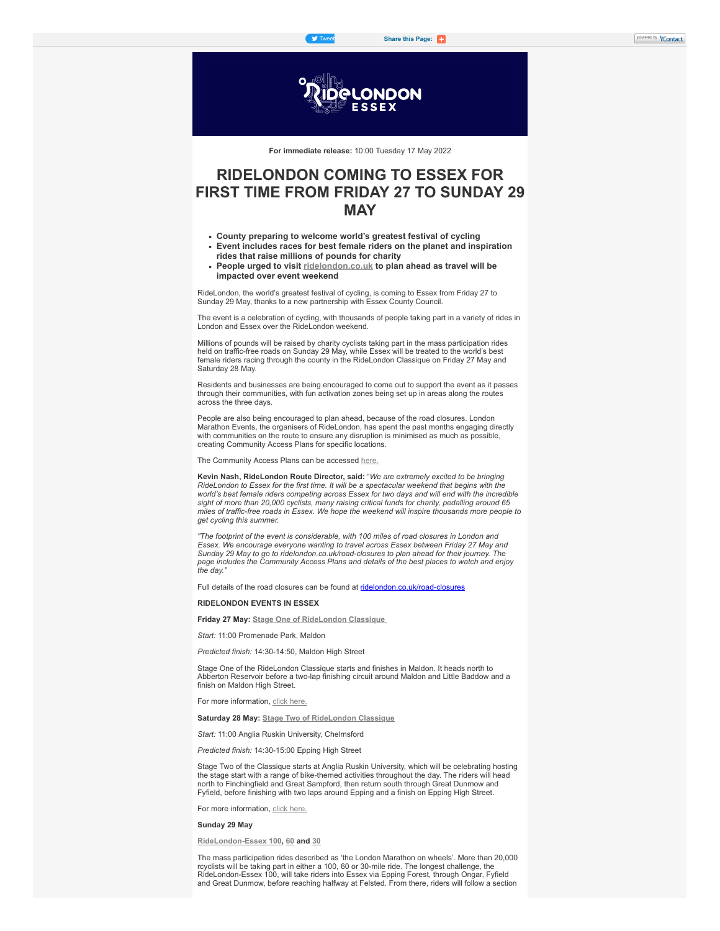

**For immediate release:** 10:00 Tuesday 17 May 2022

# **RIDELONDON COMING TO ESSEX FOR FIRST TIME FROM FRIDAY 27 TO SUNDAY 29 MAY**

- **County preparing to welcome world's greatest festival of cycling**
- **Event includes races for best female riders on the planet and inspiration rides that raise millions of pounds for charity**
- **People urged to visit [ridelondon.co.uk](https://click.icptrack.com/icp/rclick.php?cid=813804&mid=418183&destination=https%3A%2F%2Fwww.ridelondon.co.uk%2F&cfid=10964&vh=dfa5dd36c86f7e5cafd406816d657dc4f21075170013b6b4c766661741fb452f) to plan ahead as travel will be impacted over event weekend**

RideLondon, the world's greatest festival of cycling, is coming to Essex from Friday 27 to Sunday 29 May, thanks to a new partnership with Essex County Council.

The event is a celebration of cycling, with thousands of people taking part in a variety of rides in London and Essex over the RideLondon weekend.

Millions of pounds will be raised by charity cyclists taking part in the mass participation rides held on traffic-free roads on Sunday 29 May, while Essex will be treated to the world's best female riders racing through the county in the RideLondon Classique on Friday 27 May and Saturday 28 May.

Residents and businesses are being encouraged to come out to support the event as it passes through their communities, with fun activation zones being set up in areas along the routes across the three days.

People are also being encouraged to plan ahead, because of the road closures. London Marathon Events, the organisers of RideLondon, has spent the past months engaging directly with communities on the route to ensure any disruption is minimised as much as possible. creating Community Access Plans for specific locations.

The Community Access Plans can be accessed [here.](https://click.icptrack.com/icp/rclick.php?cid=813804&mid=418183&destination=https%3A%2F%2Fwww.ridelondon.co.uk%2Froad-closures%2Froad-closure-information&cfid=10964&vh=c6283a4d3620568a3d13f932bd512d09c906bd9760b8c4f261d01418766b6665)

**Kevin Nash, RideLondon Route Director, said:** "*We are extremely excited to be bringing RideLondon to Essex for the first time. It will be a spectacular weekend that begins with the world's best female riders competing across Essex for two days and will end with the incredible sight of more than 20,000 cyclists, many raising critical funds for charity, pedalling around 65 miles of traffic-free roads in Essex. We hope the weekend will inspire thousands more people to get cycling this summer.*

*"The footprint of the event is considerable, with 100 miles of road closures in London and Essex. We encourage everyone wanting to travel across Essex between Friday 27 May and Sunday 29 May to go to ridelondon.co.uk/road-closures to plan ahead for their journey. The page includes the Community Access Plans and details of the best places to watch and enjoy*  $the$  day.

Full details of the road closures can be found at [ridelondon.co.uk/road-closures](https://click.icptrack.com/icp/rclick.php?cid=813804&mid=418183&destination=https%3A%2F%2Fwww.ridelondon.co.uk%2Froad-closures%2Froad-closure-information&cfid=10964&vh=c6283a4d3620568a3d13f932bd512d09c906bd9760b8c4f261d01418766b6665)

# **RIDELONDON EVENTS IN ESSEX**

**Friday 27 May: [Stage One of RideLondon Classique](https://click.icptrack.com/icp/rclick.php?cid=813804&mid=418183&destination=https%3A%2F%2Fwww.ridelondon.co.uk%2Fthe-classique%2Fthe-stages%2Fstage-one&cfid=10964&vh=4a0cbcb548909ac63b45d309c6004250399a8177aa1a967fdc747843195d6573)**

*Start:* 11:00 Promenade Park, Maldon

*Predicted finish:* 14:30-14:50, Maldon High Street

Stage One of the RideLondon Classique starts and finishes in Maldon. It heads north to Abberton Reservoir before a two-lap finishing circuit around Maldon and Little Baddow and a finish on Maldon High Street.

For more information, [click here.](https://click.icptrack.com/icp/rclick.php?cid=813804&mid=418183&destination=https%3A%2F%2Fwww.ridelondon.co.uk%2Fthe-classique%2Fthe-stages%2Fstage-one&cfid=10964&vh=4a0cbcb548909ac63b45d309c6004250399a8177aa1a967fdc747843195d6573)

**Saturday 28 May: [Stage Two of RideLondon Classique](https://click.icptrack.com/icp/rclick.php?cid=813804&mid=418183&destination=https%3A%2F%2Fwww.ridelondon.co.uk%2Fthe-classique%2Fthe-stages%2Fstage-two&cfid=10964&vh=1af746815d4810b99dbaeb171401e70043c12823e72c898f4ab4f97e2af567b1)**

*Start:* 11:00 Anglia Ruskin University, Chelmsford

*Predicted finish:* 14:30-15:00 Epping High Street

Stage Two of the Classique starts at Anglia Ruskin University, which will be celebrating hosting the stage start with a range of bike-themed activities throughout the day. The riders will head north to Finchingfield and Great Sampford, then return south through Great Dunmow and Fyfield, before finishing with two laps around Epping and a finish on Epping High Street.

For more information, [click here.](https://click.icptrack.com/icp/rclick.php?cid=813804&mid=418183&destination=https%3A%2F%2Fwww.ridelondon.co.uk%2Fthe-classique%2Fthe-stages%2Fstage-two&cfid=10964&vh=1af746815d4810b99dbaeb171401e70043c12823e72c898f4ab4f97e2af567b1)

### **Sunday 29 May**

**[RideLondon-Essex 100,](https://click.icptrack.com/icp/rclick.php?cid=813804&mid=418183&destination=https%3A%2F%2Fwww.ridelondon.co.uk%2Four-rides%2Fridelondon-essex-100&cfid=10964&vh=ef74f35165c6ccae48468ef920533731c61d6059d2c2613f8e6a36b3e6886e12) [60](https://click.icptrack.com/icp/rclick.php?cid=813804&mid=418183&destination=https%3A%2F%2Fwww.ridelondon.co.uk%2Four-rides%2Fridelondon-essex-60&cfid=10964&vh=cee0d0bbfc9405a4452244baeeec58475aeef04fd907609139a58c1d19343865) and [30](https://click.icptrack.com/icp/rclick.php?cid=813804&mid=418183&destination=https%3A%2F%2Fwww.ridelondon.co.uk%2Four-rides%2Fridelondon-essex-30&cfid=10964&vh=eded6f3fc3e224a729e46d92ee518cb37f0c0d18caddf4526fb9bc1fd6a4b6c2)**

The mass participation rides described as 'the London Marathon on wheels'. More than 20,000 rcyclists will be taking part in either a 100, 60 or 30-mile ride. The longest challenge, the RideLondon-Essex 100, will take riders into Essex via Epping Forest, through Ongar, Fyfield and Great Dunmow, before reaching halfway at Felsted. From there, riders will follow a section